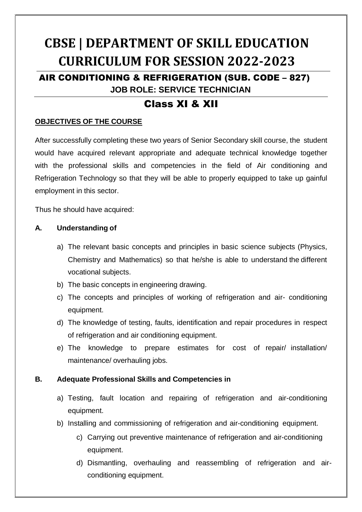# **CBSE | DEPARTMENT OF SKILL EDUCATION CURRICULUM FOR SESSION 2022-2023**

## AIR CONDITIONING & REFRIGERATION (SUB. CODE – 827) **JOB ROLE: SERVICE TECHNICIAN**

## Class XI & XII

## **OBJECTIVES OF THE COURSE**

After successfully completing these two years of Senior Secondary skill course, the student would have acquired relevant appropriate and adequate technical knowledge together with the professional skills and competencies in the field of Air conditioning and Refrigeration Technology so that they will be able to properly equipped to take up gainful employment in this sector.

Thus he should have acquired:

### **A. Understanding of**

- a) The relevant basic concepts and principles in basic science subjects (Physics, Chemistry and Mathematics) so that he/she is able to understand the different vocational subjects.
- b) The basic concepts in engineering drawing.
- c) The concepts and principles of working of refrigeration and air- conditioning equipment.
- d) The knowledge of testing, faults, identification and repair procedures in respect of refrigeration and air conditioning equipment.
- e) The knowledge to prepare estimates for cost of repair/ installation/ maintenance/ overhauling jobs.

## **B. Adequate Professional Skills and Competencies in**

- a) Testing, fault location and repairing of refrigeration and air-conditioning equipment.
- b) Installing and commissioning of refrigeration and air-conditioning equipment.
	- c) Carrying out preventive maintenance of refrigeration and air-conditioning equipment.
	- d) Dismantling, overhauling and reassembling of refrigeration and airconditioning equipment.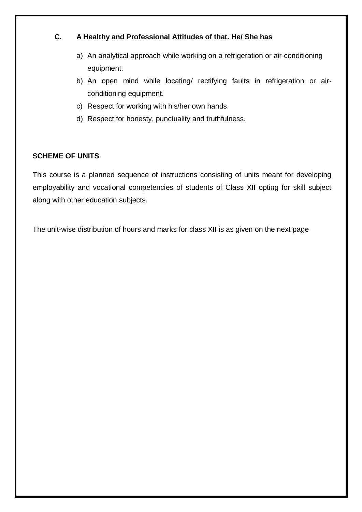## **C. A Healthy and Professional Attitudes of that. He/ She has**

- a) An analytical approach while working on a refrigeration or air-conditioning equipment.
- b) An open mind while locating/ rectifying faults in refrigeration or airconditioning equipment.
- c) Respect for working with his/her own hands.
- d) Respect for honesty, punctuality and truthfulness.

## **SCHEME OF UNITS**

This course is a planned sequence of instructions consisting of units meant for developing employability and vocational competencies of students of Class XII opting for skill subject along with other education subjects.

The unit-wise distribution of hours and marks for class XII is as given on the next page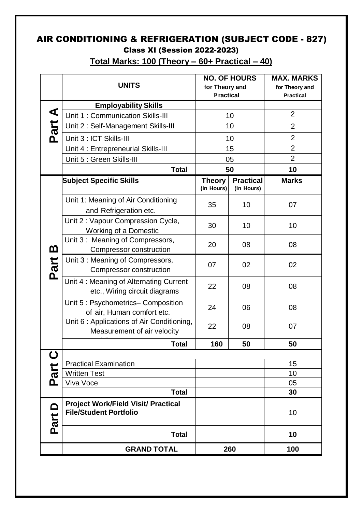## AIR CONDITIONING & REFRIGERATION (SUBJECT CODE - 827) Class XI (Session 2022-2023)

|                  | <b>UNITS</b>                                                                | <b>NO. OF HOURS</b><br>for Theory and<br><b>Practical</b> |                                | <b>MAX. MARKS</b><br>for Theory and<br><b>Practical</b> |
|------------------|-----------------------------------------------------------------------------|-----------------------------------------------------------|--------------------------------|---------------------------------------------------------|
| Part A           | <b>Employability Skills</b>                                                 |                                                           |                                |                                                         |
|                  | Unit 1: Communication Skills-III                                            | 10                                                        |                                | $\overline{2}$                                          |
|                  | Unit 2: Self-Management Skills-III                                          | 10                                                        |                                | $\overline{2}$                                          |
|                  | Unit 3 : ICT Skills-III                                                     | 10                                                        |                                | $\overline{2}$                                          |
|                  | Unit 4 : Entrepreneurial Skills-III                                         | 15                                                        |                                | $\overline{2}$                                          |
|                  | Unit 5 : Green Skills-III                                                   | 05                                                        |                                | $\overline{2}$                                          |
|                  | <b>Total</b>                                                                | 50                                                        |                                | 10                                                      |
| <u>ന</u><br>Part | <b>Subject Specific Skills</b>                                              | <b>Theory</b><br>(In Hours)                               | <b>Practical</b><br>(In Hours) | <b>Marks</b>                                            |
|                  | Unit 1: Meaning of Air Conditioning<br>and Refrigeration etc.               | 35                                                        | 10                             | 07                                                      |
|                  | Unit 2 : Vapour Compression Cycle,<br><b>Working of a Domestic</b>          | 30                                                        | 10                             | 10                                                      |
|                  | Unit 3: Meaning of Compressors,<br>Compressor construction                  | 20                                                        | 08                             | 08                                                      |
|                  | Unit 3: Meaning of Compressors,<br>Compressor construction                  | 07                                                        | 02                             | 02                                                      |
|                  | Unit 4: Meaning of Alternating Current<br>etc., Wiring circuit diagrams     | 22                                                        | 08                             | 08                                                      |
|                  | Unit 5: Psychometrics-Composition<br>of air, Human comfort etc.             | 24                                                        | 06                             | 08                                                      |
|                  | Unit 6: Applications of Air Conditioning,<br>Measurement of air velocity    | 22                                                        | 08                             | 07                                                      |
|                  | <b>Total</b>                                                                | 160                                                       | 50                             | 50                                                      |
| $\mathbf C$      |                                                                             |                                                           |                                |                                                         |
|                  | <b>Practical Examination</b>                                                |                                                           |                                | 15                                                      |
| Part             | <b>Written Test</b>                                                         |                                                           |                                | 10                                                      |
|                  | Viva Voce<br><b>Total</b>                                                   |                                                           |                                | 05                                                      |
|                  |                                                                             |                                                           |                                | 30                                                      |
| Part             | <b>Project Work/Field Visit/ Practical</b><br><b>File/Student Portfolio</b> |                                                           |                                | 10                                                      |
|                  | <b>Total</b>                                                                |                                                           |                                | 10                                                      |
|                  | <b>GRAND TOTAL</b>                                                          | 260                                                       |                                | 100                                                     |

**Total Marks: 100 (Theory – 60+ Practical – 40)**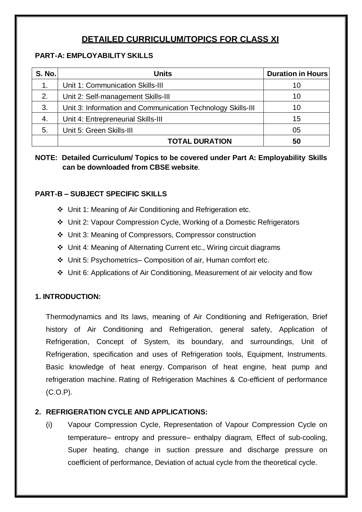## **DETAILED CURRICULUM/TOPICS FOR CLASS XI**

## **PART-A: EMPLOYABILITY SKILLS**

| <b>S. No.</b> | <b>Units</b>                                                | <b>Duration in Hours</b> |
|---------------|-------------------------------------------------------------|--------------------------|
| 1.            | Unit 1: Communication Skills-III                            | 10                       |
| 2.            | Unit 2: Self-management Skills-III                          | 10                       |
| 3.            | Unit 3: Information and Communication Technology Skills-III | 10                       |
| 4.            | Unit 4: Entrepreneurial Skills-III                          | 15                       |
| 5.            | Unit 5: Green Skills-III                                    | 05                       |
|               | <b>TOTAL DURATION</b>                                       | 50                       |

**NOTE: Detailed Curriculum/ Topics to be covered under Part A: Employability Skills can be downloaded from CBSE website**.

## **PART-B – SUBJECT SPECIFIC SKILLS**

- Unit 1: Meaning of Air Conditioning and Refrigeration etc.
- Unit 2: Vapour Compression Cycle, Working of a Domestic Refrigerators
- Unit 3: Meaning of Compressors, Compressor construction
- Unit 4: Meaning of Alternating Current etc., Wiring circuit diagrams
- Unit 5: Psychometrics– Composition of air, Human comfort etc.
- Unit 6: Applications of Air Conditioning, Measurement of air velocity and flow

## **1. INTRODUCTION:**

Thermodynamics and Its laws, meaning of Air Conditioning and Refrigeration, Brief history of Air Conditioning and Refrigeration, general safety, Application of Refrigeration, Concept of System, its boundary, and surroundings, Unit of Refrigeration, specification and uses of Refrigeration tools, Equipment, Instruments. Basic knowledge of heat energy. Comparison of heat engine, heat pump and refrigeration machine. Rating of Refrigeration Machines & Co-efficient of performance (C.O.P).

## **2. REFRIGERATION CYCLE AND APPLICATIONS:**

(i) Vapour Compression Cycle, Representation of Vapour Compression Cycle on temperature– entropy and pressure– enthalpy diagram, Effect of sub-cooling, Super heating, change in suction pressure and discharge pressure on coefficient of performance, Deviation of actual cycle from the theoretical cycle.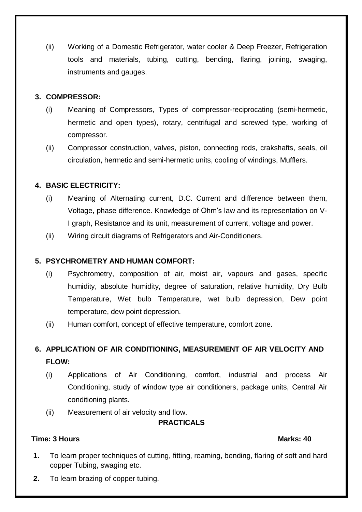(ii) Working of a Domestic Refrigerator, water cooler & Deep Freezer, Refrigeration tools and materials, tubing, cutting, bending, flaring, joining, swaging, instruments and gauges.

### **3. COMPRESSOR:**

- (i) Meaning of Compressors, Types of compressor-reciprocating (semi-hermetic, hermetic and open types), rotary, centrifugal and screwed type, working of compressor.
- (ii) Compressor construction, valves, piston, connecting rods, crakshafts, seals, oil circulation, hermetic and semi-hermetic units, cooling of windings, Mufflers.

## **4. BASIC ELECTRICITY:**

- (i) Meaning of Alternating current, D.C. Current and difference between them, Voltage, phase difference. Knowledge of Ohm's law and its representation on V-I graph, Resistance and its unit, measurement of current, voltage and power.
- (ii) Wiring circuit diagrams of Refrigerators and Air-Conditioners.

## **5. PSYCHROMETRY AND HUMAN COMFORT:**

- (i) Psychrometry, composition of air, moist air, vapours and gases, specific humidity, absolute humidity, degree of saturation, relative humidity, Dry Bulb Temperature, Wet bulb Temperature, wet bulb depression, Dew point temperature, dew point depression.
- (ii) Human comfort, concept of effective temperature, comfort zone.

## **6. APPLICATION OF AIR CONDITIONING, MEASUREMENT OF AIR VELOCITY AND FLOW:**

- (i) Applications of Air Conditioning, comfort, industrial and process Air Conditioning, study of window type air conditioners, package units, Central Air conditioning plants.
- (ii) Measurement of air velocity and flow.

### **PRACTICALS**

### **Time: 3 Hours Marks: 40**

- **1.** To learn proper techniques of cutting, fitting, reaming, bending, flaring of soft and hard copper Tubing, swaging etc.
- **2.** To learn brazing of copper tubing.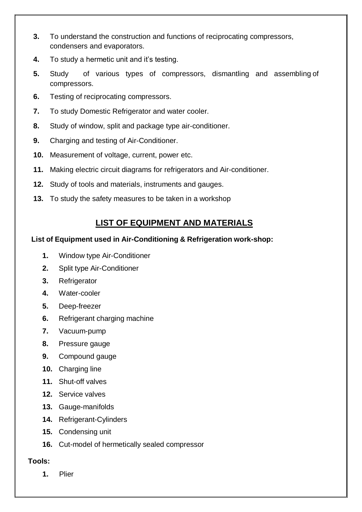- **3.** To understand the construction and functions of reciprocating compressors, condensers and evaporators.
- **4.** To study a hermetic unit and it's testing.
- **5.** Study of various types of compressors, dismantling and assembling of compressors.
- **6.** Testing of reciprocating compressors.
- **7.** To study Domestic Refrigerator and water cooler.
- **8.** Study of window, split and package type air-conditioner.
- **9.** Charging and testing of Air-Conditioner.
- **10.** Measurement of voltage, current, power etc.
- **11.** Making electric circuit diagrams for refrigerators and Air-conditioner.
- **12.** Study of tools and materials, instruments and gauges.
- **13.** To study the safety measures to be taken in a workshop

## **LIST OF EQUIPMENT AND MATERIALS**

### **List of Equipment used in Air-Conditioning & Refrigeration work-shop:**

- **1.** Window type Air-Conditioner
- **2.** Split type Air-Conditioner
- **3.** Refrigerator
- **4.** Water-cooler
- **5.** Deep-freezer
- **6.** Refrigerant charging machine
- **7.** Vacuum-pump
- **8.** Pressure gauge
- **9.** Compound gauge
- **10.** Charging line
- **11.** Shut-off valves
- **12.** Service valves
- **13.** Gauge-manifolds
- **14.** Refrigerant-Cylinders
- **15.** Condensing unit
- **16.** Cut-model of hermetically sealed compressor

## **Tools:**

**1.** Plier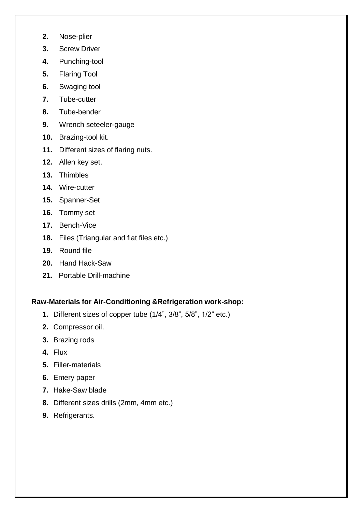- **2.** Nose-plier
- **3.** Screw Driver
- **4.** Punching-tool
- **5.** Flaring Tool
- **6.** Swaging tool
- **7.** Tube-cutter
- **8.** Tube-bender
- **9.** Wrench seteeler-gauge
- **10.** Brazing-tool kit.
- **11.** Different sizes of flaring nuts.
- **12.** Allen key set.
- **13.** Thimbles
- **14.** Wire-cutter
- **15.** Spanner-Set
- **16.** Tommy set
- **17.** Bench-Vice
- **18.** Files (Triangular and flat files etc.)
- **19.** Round file
- **20.** Hand Hack-Saw
- **21.** Portable Drill-machine

### **Raw-Materials for Air-Conditioning &Refrigeration work-shop:**

- **1.** Different sizes of copper tube (1/4", 3/8", 5/8", 1/2" etc.)
- **2.** Compressor oil.
- **3.** Brazing rods
- **4.** Flux
- **5.** Filler-materials
- **6.** Emery paper
- **7.** Hake-Saw blade
- **8.** Different sizes drills (2mm, 4mm etc.)
- **9.** Refrigerants.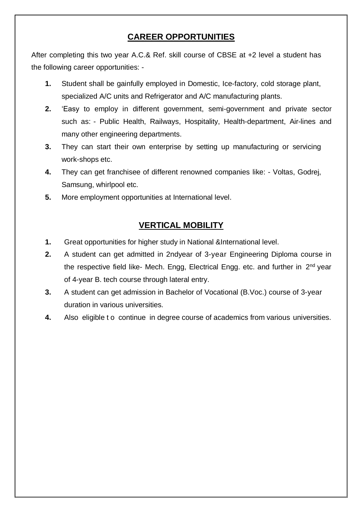## **CAREER OPPORTUNITIES**

After completing this two year A.C.& Ref. skill course of CBSE at +2 level a student has the following career opportunities: -

- **1.** Student shall be gainfully employed in Domestic, Ice-factory, cold storage plant, specialized A/C units and Refrigerator and A/C manufacturing plants.
- **2.** 'Easy to employ in different government, semi-government and private sector such as: - Public Health, Railways, Hospitality, Health-department, Air-lines and many other engineering departments.
- **3.** They can start their own enterprise by setting up manufacturing or servicing work-shops etc.
- **4.** They can get franchisee of different renowned companies like: Voltas, Godrej, Samsung, whirlpool etc.
- **5.** More employment opportunities at International level.

## **VERTICAL MOBILITY**

- **1.** Great opportunities for higher study in National &International level.
- **2.** A student can get admitted in 2ndyear of 3-year Engineering Diploma course in the respective field like- Mech. Engg, Electrical Engg. etc. and further in 2<sup>nd</sup> year of 4-year B. tech course through lateral entry.
- **3.** A student can get admission in Bachelor of Vocational (B.Voc.) course of 3-year duration in various universities.
- **4.** Also eligible t o continue in degree course of academics from various universities.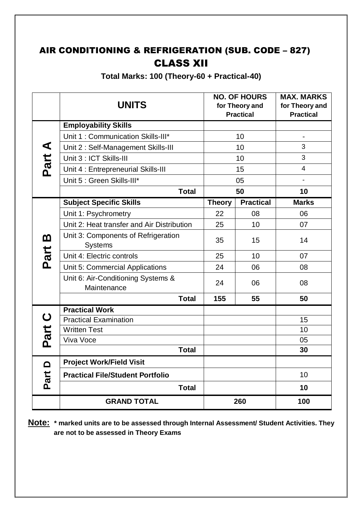## AIR CONDITIONING & REFRIGERATION (SUB. CODE – 827) CLASS XII

**Total Marks: 100 (Theory-60 + Practical-40)**

|          | <b>UNITS</b>                                          |               | <b>NO. OF HOURS</b><br>for Theory and<br><b>Practical</b> | <b>MAX. MARKS</b><br>for Theory and<br><b>Practical</b> |
|----------|-------------------------------------------------------|---------------|-----------------------------------------------------------|---------------------------------------------------------|
|          | <b>Employability Skills</b>                           |               |                                                           |                                                         |
|          | Unit 1: Communication Skills-III*                     | 10            |                                                           | $\blacksquare$                                          |
|          | Unit 2: Self-Management Skills-III                    | 10            |                                                           | 3                                                       |
|          | Unit 3 : ICT Skills-III                               | 10            |                                                           | 3                                                       |
| Part A   | Unit 4 : Entrepreneurial Skills-III                   | 15            |                                                           | $\overline{\mathcal{A}}$                                |
|          | Unit 5 : Green Skills-III*                            | 05            |                                                           | $\overline{\phantom{a}}$                                |
|          | <b>Total</b>                                          | 50            |                                                           | 10                                                      |
|          | <b>Subject Specific Skills</b>                        | <b>Theory</b> | <b>Practical</b>                                          | <b>Marks</b>                                            |
|          | Unit 1: Psychrometry                                  | 22            | 08                                                        | 06                                                      |
|          | Unit 2: Heat transfer and Air Distribution            | 25            | 10                                                        | 07                                                      |
| <u>ന</u> | Unit 3: Components of Refrigeration<br><b>Systems</b> | 35            | 15                                                        | 14                                                      |
| Part     | Unit 4: Electric controls                             | 25            | 10                                                        | 07                                                      |
|          | Unit 5: Commercial Applications                       | 24            | 06                                                        | 08                                                      |
|          | Unit 6: Air-Conditioning Systems &<br>Maintenance     | 24            | 06                                                        | 08                                                      |
|          | <b>Total</b>                                          | 155           | 55                                                        | 50                                                      |
|          | <b>Practical Work</b>                                 |               |                                                           |                                                         |
| Part C   | <b>Practical Examination</b>                          |               |                                                           | 15                                                      |
|          | <b>Written Test</b>                                   |               |                                                           | 10                                                      |
|          | Viva Voce                                             |               |                                                           | 05                                                      |
|          | <b>Total</b>                                          |               |                                                           | 30                                                      |
| $\Omega$ | <b>Project Work/Field Visit</b>                       |               |                                                           |                                                         |
| Part     | <b>Practical File/Student Portfolio</b>               |               |                                                           | 10                                                      |
|          | <b>Total</b>                                          |               |                                                           | 10                                                      |
|          | <b>GRAND TOTAL</b>                                    |               | 260                                                       | 100                                                     |

**Note: \* marked units are to be assessed through Internal Assessment/ Student Activities. They are not to be assessed in Theory Exams**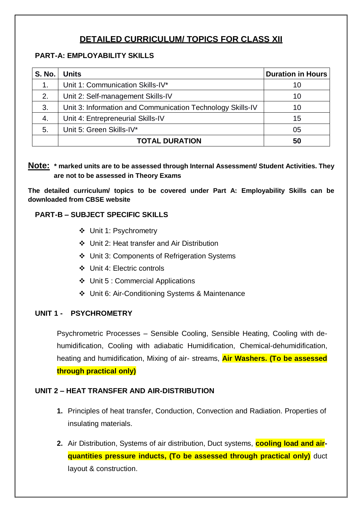## **DETAILED CURRICULUM/ TOPICS FOR CLASS XII**

## **PART-A: EMPLOYABILITY SKILLS**

| <b>S. No.</b> | <b>Units</b>                                               | <b>Duration in Hours</b> |
|---------------|------------------------------------------------------------|--------------------------|
| 1.            | Unit 1: Communication Skills-IV*                           | 10                       |
| 2.            | Unit 2: Self-management Skills-IV                          | 10                       |
| 3.            | Unit 3: Information and Communication Technology Skills-IV | 10                       |
| 4.            | Unit 4: Entrepreneurial Skills-IV                          | 15                       |
| 5.            | Unit 5: Green Skills-IV*                                   | 05                       |
|               | <b>TOTAL DURATION</b>                                      | 50                       |

## **Note: \* marked units are to be assessed through Internal Assessment/ Student Activities. They are not to be assessed in Theory Exams**

**The detailed curriculum/ topics to be covered under Part A: Employability Skills can be downloaded from CBSE website**

## **PART-B – SUBJECT SPECIFIC SKILLS**

- Unit 1: Psychrometry
- Unit 2: Heat transfer and Air Distribution
- Unit 3: Components of Refrigeration Systems
- Unit 4: Electric controls
- Unit 5 : Commercial Applications
- Unit 6: Air-Conditioning Systems & Maintenance

## **UNIT 1 - PSYCHROMETRY**

Psychrometric Processes – Sensible Cooling, Sensible Heating, Cooling with dehumidification, Cooling with adiabatic Humidification, Chemical-dehumidification, heating and humidification, Mixing of air- streams, **Air Washers. (To be assessed through practical only)**

## **UNIT 2 – HEAT TRANSFER AND AIR-DISTRIBUTION**

- **1.** Principles of heat transfer, Conduction, Convection and Radiation. Properties of insulating materials.
- **2.** Air Distribution, Systems of air distribution, Duct systems, **cooling load and airquantities pressure inducts. (To be assessed through practical only)** duct layout & construction.